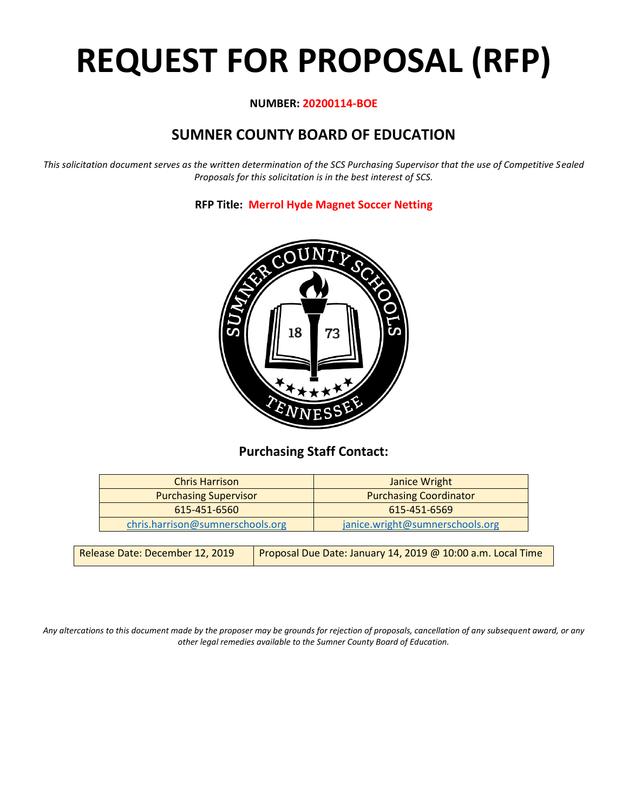# **REQUEST FOR PROPOSAL (RFP)**

#### **NUMBER: 20200114-BOE**

# **SUMNER COUNTY BOARD OF EDUCATION**

*This solicitation document serves as the written determination of the SCS Purchasing Supervisor that the use of Competitive Sealed Proposals for this solicitation is in the best interest of SCS.*

**RFP Title: Merrol Hyde Magnet Soccer Netting**



## **Purchasing Staff Contact:**

| <b>Chris Harrison</b>            | Janice Wright                   |
|----------------------------------|---------------------------------|
| <b>Purchasing Supervisor</b>     | <b>Purchasing Coordinator</b>   |
| 615-451-6560                     | 615-451-6569                    |
| chris.harrison@sumnerschools.org | janice.wright@sumnerschools.org |

| Release Date: December 12, 2019 | Proposal Due Date: January 14, 2019 @ 10:00 a.m. Local Time |
|---------------------------------|-------------------------------------------------------------|
|---------------------------------|-------------------------------------------------------------|

*Any altercations to this document made by the proposer may be grounds for rejection of proposals, cancellation of any subsequent award, or any other legal remedies available to the Sumner County Board of Education.*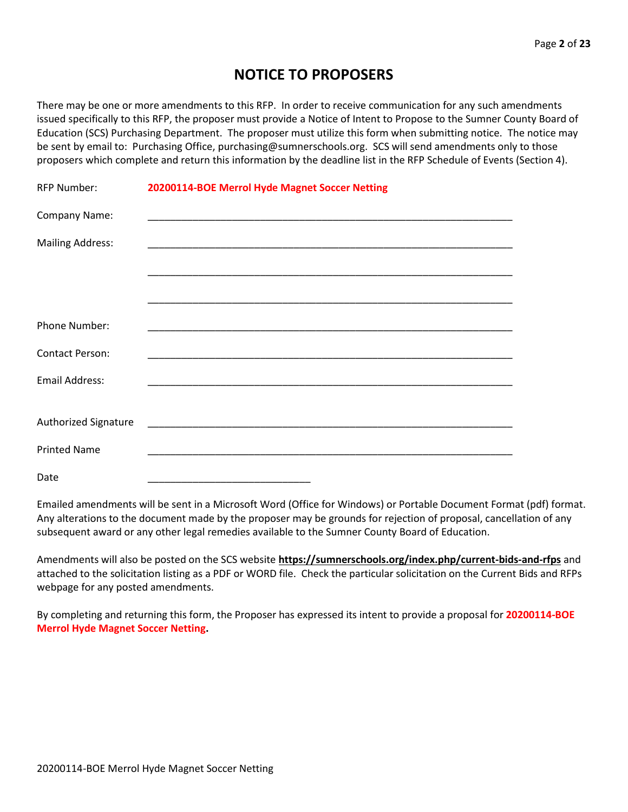## **NOTICE TO PROPOSERS**

There may be one or more amendments to this RFP. In order to receive communication for any such amendments issued specifically to this RFP, the proposer must provide a Notice of Intent to Propose to the Sumner County Board of Education (SCS) Purchasing Department. The proposer must utilize this form when submitting notice. The notice may be sent by email to: Purchasing Office, purchasing@sumnerschools.org. SCS will send amendments only to those proposers which complete and return this information by the deadline list in the RFP Schedule of Events (Section 4).

| <b>RFP Number:</b>      | 20200114-BOE Merrol Hyde Magnet Soccer Netting |  |
|-------------------------|------------------------------------------------|--|
| Company Name:           |                                                |  |
| <b>Mailing Address:</b> |                                                |  |
|                         |                                                |  |
|                         |                                                |  |
| Phone Number:           |                                                |  |
| <b>Contact Person:</b>  |                                                |  |
| <b>Email Address:</b>   |                                                |  |
|                         |                                                |  |
| Authorized Signature    |                                                |  |
| <b>Printed Name</b>     |                                                |  |
| Date                    |                                                |  |

Emailed amendments will be sent in a Microsoft Word (Office for Windows) or Portable Document Format (pdf) format. Any alterations to the document made by the proposer may be grounds for rejection of proposal, cancellation of any subsequent award or any other legal remedies available to the Sumner County Board of Education.

Amendments will also be posted on the SCS website **https://sumnerschools.org/index.php/current-bids-and-rfps** and attached to the solicitation listing as a PDF or WORD file. Check the particular solicitation on the Current Bids and RFPs webpage for any posted amendments.

By completing and returning this form, the Proposer has expressed its intent to provide a proposal for **20200114-BOE Merrol Hyde Magnet Soccer Netting.**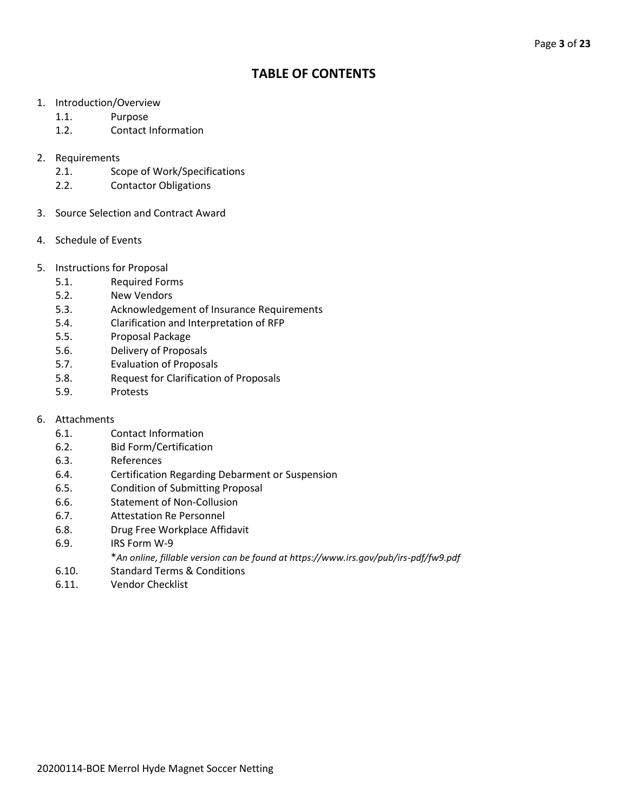## **TABLE OF CONTENTS**

- 1. Introduction/Overview
	- 1.1. Purpose
	- 1.2. Contact Information
- 2. Requirements
	- 2.1. Scope of Work/Specifications
	- 2.2. Contactor Obligations
- 3. Source Selection and Contract Award
- 4. Schedule of Events
- 5. Instructions for Proposal
	- 5.1. Required Forms
	- 5.2. New Vendors
	- 5.3. Acknowledgement of Insurance Requirements
	- 5.4. Clarification and Interpretation of RFP
	- 5.5. Proposal Package
	- 5.6. Delivery of Proposals
	- 5.7. Evaluation of Proposals
	- 5.8. Request for Clarification of Proposals
	- 5.9. Protests
- 6. Attachments
	- 6.1. Contact Information
	- 6.2. Bid Form/Certification
	- 6.3. References
	- 6.4. Certification Regarding Debarment or Suspension
	- 6.5. Condition of Submitting Proposal
	- 6.6. Statement of Non-Collusion
	- 6.7. Attestation Re Personnel
	- 6.8. Drug Free Workplace Affidavit
	- 6.9. IRS Form W-9
		- \**An online, fillable version can be found at https://www.irs.gov/pub/irs-pdf/fw9.pdf*
	- 6.10. Standard Terms & Conditions
	- 6.11. Vendor Checklist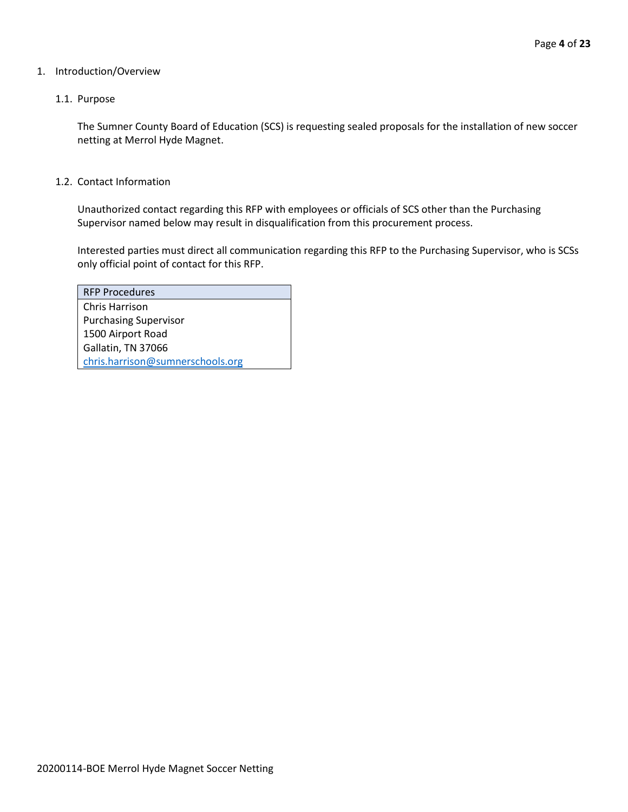#### 1. Introduction/Overview

#### 1.1. Purpose

The Sumner County Board of Education (SCS) is requesting sealed proposals for the installation of new soccer netting at Merrol Hyde Magnet.

#### 1.2. Contact Information

Unauthorized contact regarding this RFP with employees or officials of SCS other than the Purchasing Supervisor named below may result in disqualification from this procurement process.

Interested parties must direct all communication regarding this RFP to the Purchasing Supervisor, who is SCSs only official point of contact for this RFP.

| <b>RFP Procedures</b>            |
|----------------------------------|
| Chris Harrison                   |
| <b>Purchasing Supervisor</b>     |
| 1500 Airport Road                |
| Gallatin, TN 37066               |
| chris.harrison@sumnerschools.org |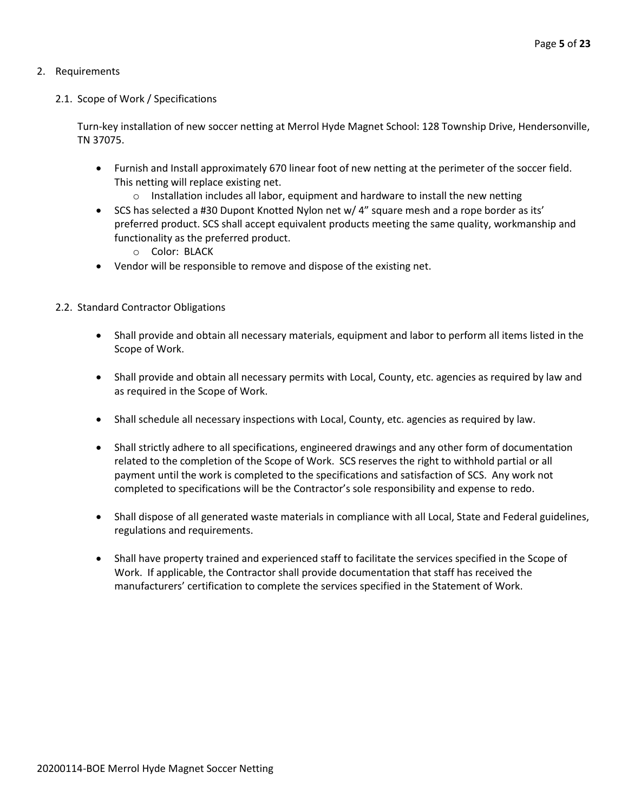#### 2. Requirements

#### 2.1. Scope of Work / Specifications

Turn-key installation of new soccer netting at Merrol Hyde Magnet School: 128 Township Drive, Hendersonville, TN 37075.

- Furnish and Install approximately 670 linear foot of new netting at the perimeter of the soccer field. This netting will replace existing net.
	- $\circ$  Installation includes all labor, equipment and hardware to install the new netting
- SCS has selected a #30 Dupont Knotted Nylon net w/ 4" square mesh and a rope border as its' preferred product. SCS shall accept equivalent products meeting the same quality, workmanship and functionality as the preferred product.
	- o Color: BLACK
- Vendor will be responsible to remove and dispose of the existing net.

#### 2.2. Standard Contractor Obligations

- Shall provide and obtain all necessary materials, equipment and labor to perform all items listed in the Scope of Work.
- Shall provide and obtain all necessary permits with Local, County, etc. agencies as required by law and as required in the Scope of Work.
- Shall schedule all necessary inspections with Local, County, etc. agencies as required by law.
- Shall strictly adhere to all specifications, engineered drawings and any other form of documentation related to the completion of the Scope of Work. SCS reserves the right to withhold partial or all payment until the work is completed to the specifications and satisfaction of SCS. Any work not completed to specifications will be the Contractor's sole responsibility and expense to redo.
- Shall dispose of all generated waste materials in compliance with all Local, State and Federal guidelines, regulations and requirements.
- Shall have property trained and experienced staff to facilitate the services specified in the Scope of Work. If applicable, the Contractor shall provide documentation that staff has received the manufacturers' certification to complete the services specified in the Statement of Work.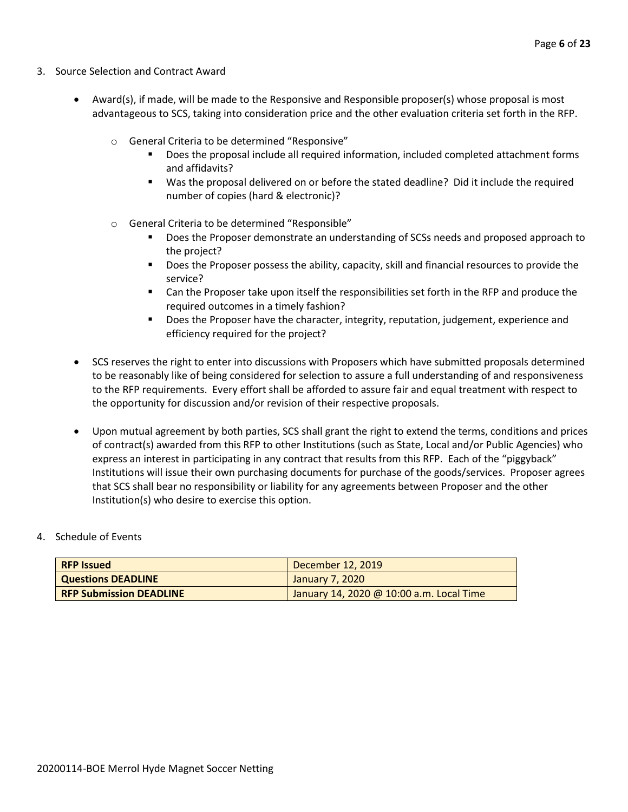- 3. Source Selection and Contract Award
	- Award(s), if made, will be made to the Responsive and Responsible proposer(s) whose proposal is most advantageous to SCS, taking into consideration price and the other evaluation criteria set forth in the RFP.
		- o General Criteria to be determined "Responsive"
			- Does the proposal include all required information, included completed attachment forms and affidavits?
			- Was the proposal delivered on or before the stated deadline? Did it include the required number of copies (hard & electronic)?
		- o General Criteria to be determined "Responsible"
			- Does the Proposer demonstrate an understanding of SCSs needs and proposed approach to the project?
			- Does the Proposer possess the ability, capacity, skill and financial resources to provide the service?
			- Can the Proposer take upon itself the responsibilities set forth in the RFP and produce the required outcomes in a timely fashion?
			- **■** Does the Proposer have the character, integrity, reputation, judgement, experience and efficiency required for the project?
	- SCS reserves the right to enter into discussions with Proposers which have submitted proposals determined to be reasonably like of being considered for selection to assure a full understanding of and responsiveness to the RFP requirements. Every effort shall be afforded to assure fair and equal treatment with respect to the opportunity for discussion and/or revision of their respective proposals.
	- Upon mutual agreement by both parties, SCS shall grant the right to extend the terms, conditions and prices of contract(s) awarded from this RFP to other Institutions (such as State, Local and/or Public Agencies) who express an interest in participating in any contract that results from this RFP. Each of the "piggyback" Institutions will issue their own purchasing documents for purchase of the goods/services. Proposer agrees that SCS shall bear no responsibility or liability for any agreements between Proposer and the other Institution(s) who desire to exercise this option.

#### 4. Schedule of Events

| <b>RFP Issued</b>              | December 12, 2019                        |
|--------------------------------|------------------------------------------|
| <b>Questions DEADLINE</b>      | January 7, 2020                          |
| <b>RFP Submission DEADLINE</b> | January 14, 2020 @ 10:00 a.m. Local Time |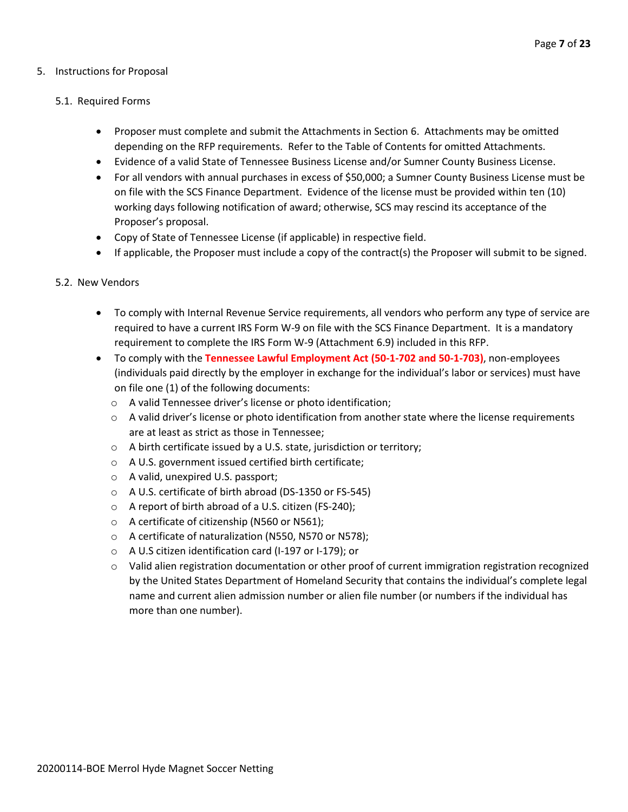#### 5. Instructions for Proposal

#### 5.1. Required Forms

- Proposer must complete and submit the Attachments in Section 6. Attachments may be omitted depending on the RFP requirements. Refer to the Table of Contents for omitted Attachments.
- Evidence of a valid State of Tennessee Business License and/or Sumner County Business License.
- For all vendors with annual purchases in excess of \$50,000; a Sumner County Business License must be on file with the SCS Finance Department. Evidence of the license must be provided within ten (10) working days following notification of award; otherwise, SCS may rescind its acceptance of the Proposer's proposal.
- Copy of State of Tennessee License (if applicable) in respective field.
- If applicable, the Proposer must include a copy of the contract(s) the Proposer will submit to be signed.

#### 5.2. New Vendors

- To comply with Internal Revenue Service requirements, all vendors who perform any type of service are required to have a current IRS Form W-9 on file with the SCS Finance Department. It is a mandatory requirement to complete the IRS Form W-9 (Attachment 6.9) included in this RFP.
- To comply with the **Tennessee Lawful Employment Act (50-1-702 and 50-1-703)**, non-employees (individuals paid directly by the employer in exchange for the individual's labor or services) must have on file one (1) of the following documents:
	- o A valid Tennessee driver's license or photo identification;
	- $\circ$  A valid driver's license or photo identification from another state where the license requirements are at least as strict as those in Tennessee;
	- o A birth certificate issued by a U.S. state, jurisdiction or territory;
	- o A U.S. government issued certified birth certificate;
	- o A valid, unexpired U.S. passport;
	- o A U.S. certificate of birth abroad (DS-1350 or FS-545)
	- o A report of birth abroad of a U.S. citizen (FS-240);
	- o A certificate of citizenship (N560 or N561);
	- o A certificate of naturalization (N550, N570 or N578);
	- o A U.S citizen identification card (I-197 or I-179); or
	- $\circ$  Valid alien registration documentation or other proof of current immigration registration recognized by the United States Department of Homeland Security that contains the individual's complete legal name and current alien admission number or alien file number (or numbers if the individual has more than one number).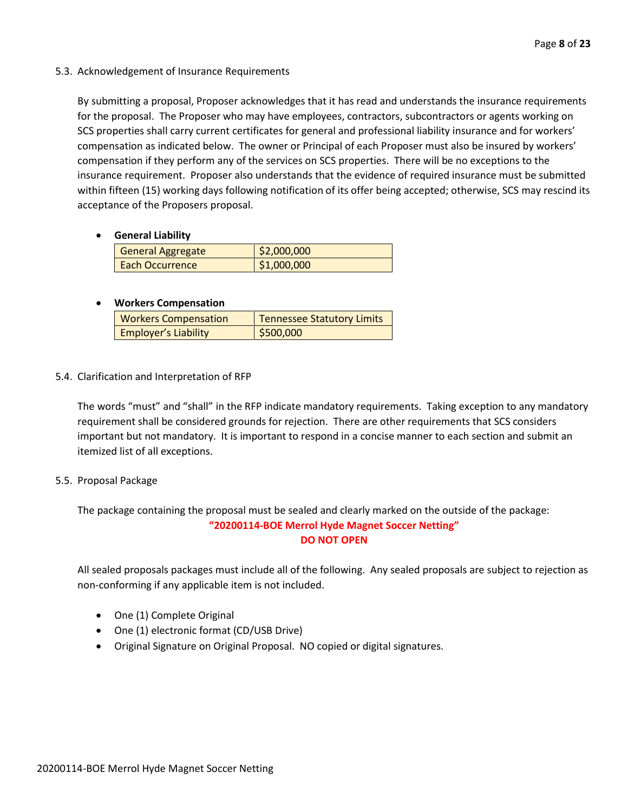#### 5.3. Acknowledgement of Insurance Requirements

By submitting a proposal, Proposer acknowledges that it has read and understands the insurance requirements for the proposal. The Proposer who may have employees, contractors, subcontractors or agents working on SCS properties shall carry current certificates for general and professional liability insurance and for workers' compensation as indicated below. The owner or Principal of each Proposer must also be insured by workers' compensation if they perform any of the services on SCS properties. There will be no exceptions to the insurance requirement. Proposer also understands that the evidence of required insurance must be submitted within fifteen (15) working days following notification of its offer being accepted; otherwise, SCS may rescind its acceptance of the Proposers proposal.

#### • **General Liability**

| <b>General Aggregate</b> | \$2,000,000 |
|--------------------------|-------------|
| Each Occurrence          | \$1,000,000 |

#### • **Workers Compensation**

| <b>Workers Compensation</b> | <b>Tennessee Statutory Limits</b> |
|-----------------------------|-----------------------------------|
| <b>Employer's Liability</b> | \$500,000                         |

#### 5.4. Clarification and Interpretation of RFP

The words "must" and "shall" in the RFP indicate mandatory requirements. Taking exception to any mandatory requirement shall be considered grounds for rejection. There are other requirements that SCS considers important but not mandatory. It is important to respond in a concise manner to each section and submit an itemized list of all exceptions.

#### 5.5. Proposal Package

The package containing the proposal must be sealed and clearly marked on the outside of the package: **"20200114-BOE Merrol Hyde Magnet Soccer Netting" DO NOT OPEN**

All sealed proposals packages must include all of the following. Any sealed proposals are subject to rejection as non-conforming if any applicable item is not included.

- One (1) Complete Original
- One (1) electronic format (CD/USB Drive)
- Original Signature on Original Proposal. NO copied or digital signatures.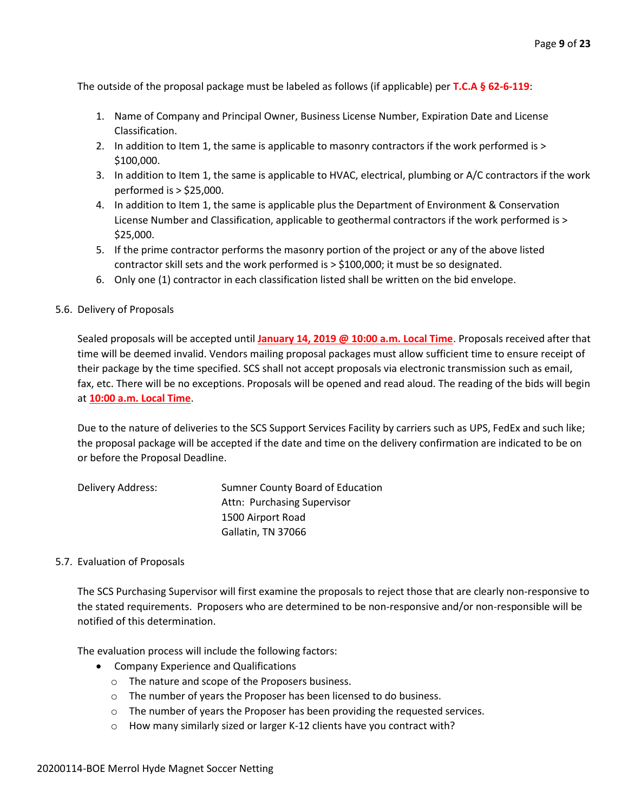The outside of the proposal package must be labeled as follows (if applicable) per **T.C.A § 62-6-119**:

- 1. Name of Company and Principal Owner, Business License Number, Expiration Date and License Classification.
- 2. In addition to Item 1, the same is applicable to masonry contractors if the work performed is > \$100,000.
- 3. In addition to Item 1, the same is applicable to HVAC, electrical, plumbing or A/C contractors if the work performed is > \$25,000.
- 4. In addition to Item 1, the same is applicable plus the Department of Environment & Conservation License Number and Classification, applicable to geothermal contractors if the work performed is > \$25,000.
- 5. If the prime contractor performs the masonry portion of the project or any of the above listed contractor skill sets and the work performed is > \$100,000; it must be so designated.
- 6. Only one (1) contractor in each classification listed shall be written on the bid envelope.

#### 5.6. Delivery of Proposals

Sealed proposals will be accepted until **January 14, 2019 @ 10:00 a.m. Local Time**. Proposals received after that time will be deemed invalid. Vendors mailing proposal packages must allow sufficient time to ensure receipt of their package by the time specified. SCS shall not accept proposals via electronic transmission such as email, fax, etc. There will be no exceptions. Proposals will be opened and read aloud. The reading of the bids will begin at **10:00 a.m. Local Time**.

Due to the nature of deliveries to the SCS Support Services Facility by carriers such as UPS, FedEx and such like; the proposal package will be accepted if the date and time on the delivery confirmation are indicated to be on or before the Proposal Deadline.

| Delivery Address: | Sumner County Board of Education |
|-------------------|----------------------------------|
|                   | Attn: Purchasing Supervisor      |
|                   | 1500 Airport Road                |
|                   | Gallatin, TN 37066               |

#### 5.7. Evaluation of Proposals

The SCS Purchasing Supervisor will first examine the proposals to reject those that are clearly non-responsive to the stated requirements. Proposers who are determined to be non-responsive and/or non-responsible will be notified of this determination.

The evaluation process will include the following factors:

- Company Experience and Qualifications
	- o The nature and scope of the Proposers business.
	- o The number of years the Proposer has been licensed to do business.
	- o The number of years the Proposer has been providing the requested services.
	- o How many similarly sized or larger K-12 clients have you contract with?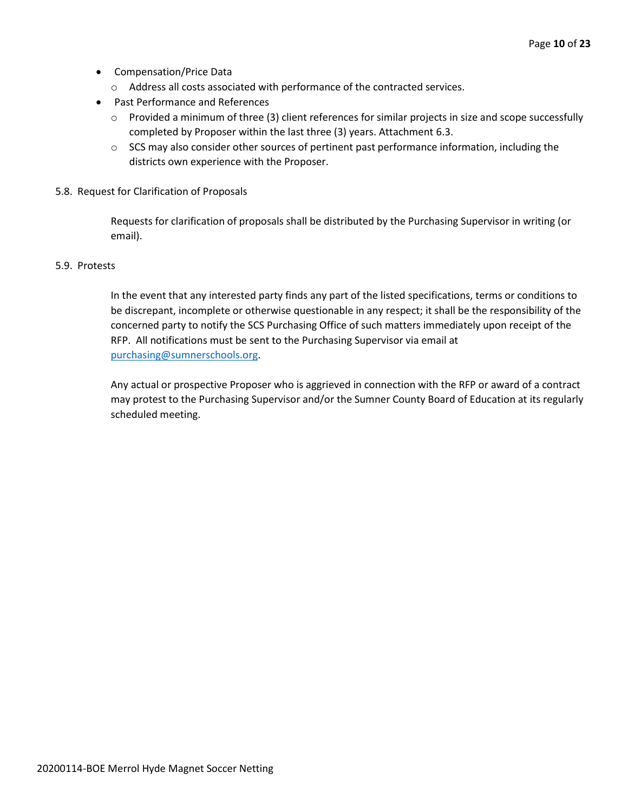- Compensation/Price Data
	- o Address all costs associated with performance of the contracted services.
- Past Performance and References
	- o Provided a minimum of three (3) client references for similar projects in size and scope successfully completed by Proposer within the last three (3) years. Attachment 6.3.
	- $\circ$  SCS may also consider other sources of pertinent past performance information, including the districts own experience with the Proposer.
- 5.8. Request for Clarification of Proposals

Requests for clarification of proposals shall be distributed by the Purchasing Supervisor in writing (or email).

#### 5.9. Protests

In the event that any interested party finds any part of the listed specifications, terms or conditions to be discrepant, incomplete or otherwise questionable in any respect; it shall be the responsibility of the concerned party to notify the SCS Purchasing Office of such matters immediately upon receipt of the RFP. All notifications must be sent to the Purchasing Supervisor via email at [purchasing@sumnerschools.org.](mailto:purchasing@sumnerschools.org)

Any actual or prospective Proposer who is aggrieved in connection with the RFP or award of a contract may protest to the Purchasing Supervisor and/or the Sumner County Board of Education at its regularly scheduled meeting.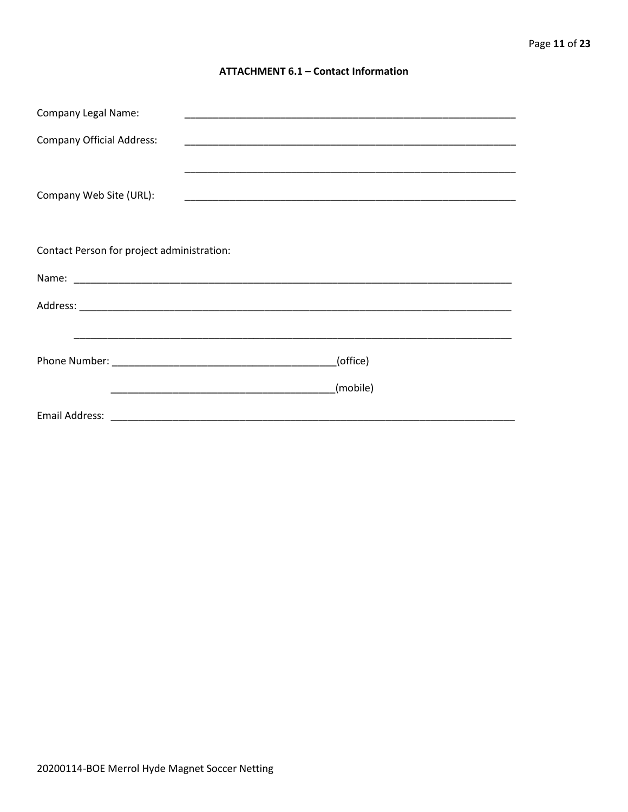#### **ATTACHMENT 6.1 - Contact Information**

| <b>Company Legal Name:</b>                 |          |  |
|--------------------------------------------|----------|--|
| <b>Company Official Address:</b>           |          |  |
|                                            |          |  |
| Company Web Site (URL):                    |          |  |
|                                            |          |  |
|                                            |          |  |
| Contact Person for project administration: |          |  |
|                                            |          |  |
|                                            |          |  |
|                                            |          |  |
| (office)                                   |          |  |
|                                            | (mobile) |  |
|                                            |          |  |
|                                            |          |  |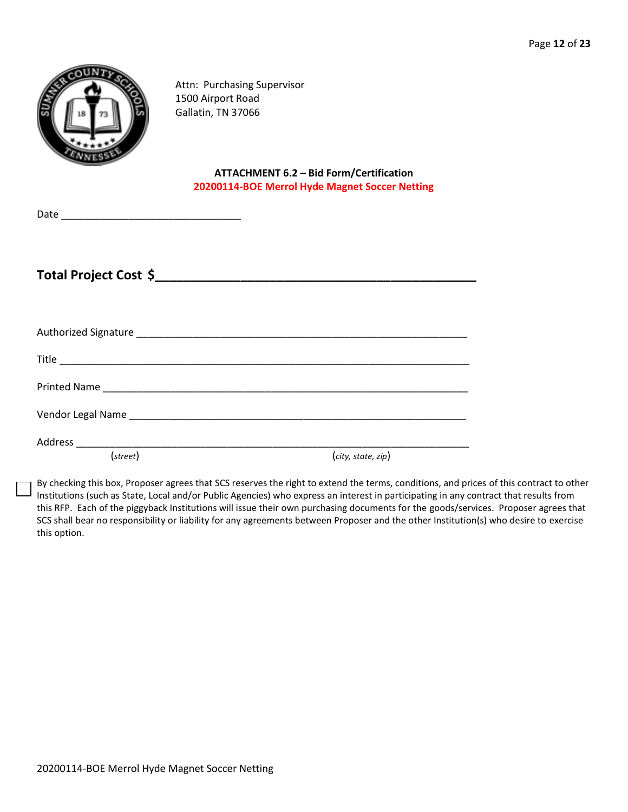| NTy<br>۳ |
|----------|
|          |

Attn: Purchasing Supervisor 1500 Airport Road Gallatin, TN 37066

#### **ATTACHMENT 6.2 – Bid Form/Certification 20200114-BOE Merrol Hyde Magnet Soccer Netting**

| Date |  |
|------|--|
|      |  |

**Total Project Cost \$\_\_\_\_\_\_\_\_\_\_\_\_\_\_\_\_\_\_\_\_\_\_\_\_\_\_\_\_\_\_\_\_\_\_\_\_\_\_\_\_\_\_\_\_\_**

| (street) | (city, state, zip) |
|----------|--------------------|

By checking this box, Proposer agrees that SCS reserves the right to extend the terms, conditions, and prices of this contract to other Institutions (such as State, Local and/or Public Agencies) who express an interest in participating in any contract that results from this RFP. Each of the piggyback Institutions will issue their own purchasing documents for the goods/services. Proposer agrees that SCS shall bear no responsibility or liability for any agreements between Proposer and the other Institution(s) who desire to exercise this option.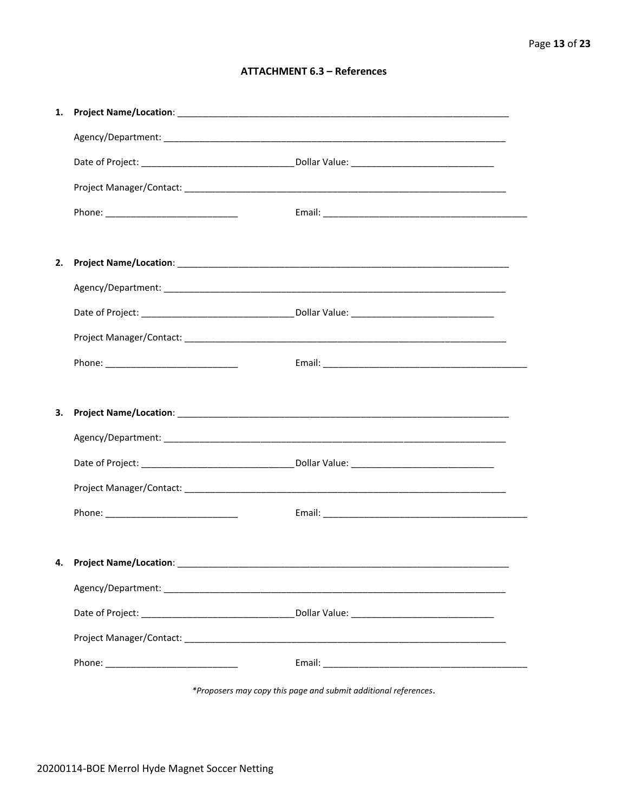#### **ATTACHMENT 6.3 - References**

| 1. |                                     |  |
|----|-------------------------------------|--|
|    |                                     |  |
|    |                                     |  |
|    |                                     |  |
|    |                                     |  |
|    |                                     |  |
| 2. |                                     |  |
|    |                                     |  |
|    |                                     |  |
|    |                                     |  |
|    |                                     |  |
|    |                                     |  |
|    |                                     |  |
| 3. |                                     |  |
|    |                                     |  |
|    |                                     |  |
|    |                                     |  |
|    |                                     |  |
|    |                                     |  |
|    | 4. Project Name/Location: _________ |  |
|    |                                     |  |
|    |                                     |  |
|    |                                     |  |

\*Proposers may copy this page and submit additional references.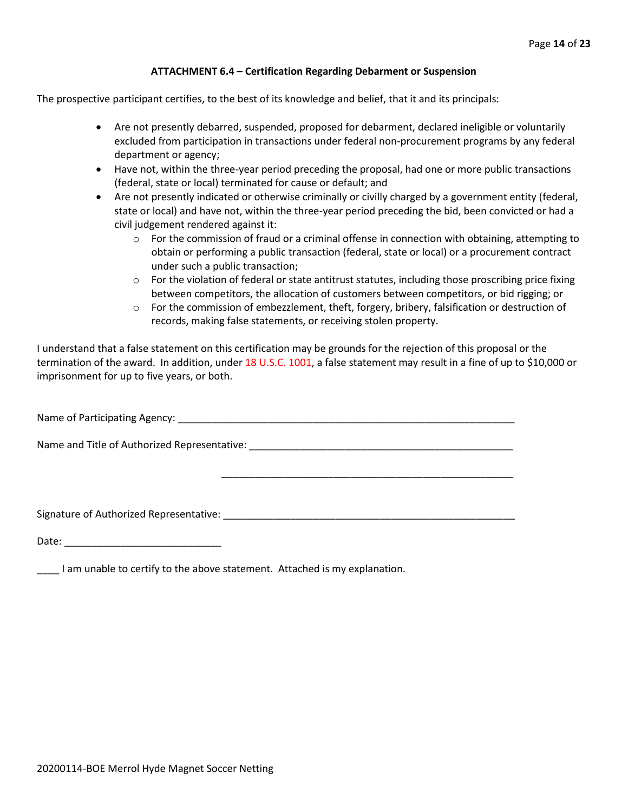#### **ATTACHMENT 6.4 – Certification Regarding Debarment or Suspension**

The prospective participant certifies, to the best of its knowledge and belief, that it and its principals:

- Are not presently debarred, suspended, proposed for debarment, declared ineligible or voluntarily excluded from participation in transactions under federal non-procurement programs by any federal department or agency;
- Have not, within the three-year period preceding the proposal, had one or more public transactions (federal, state or local) terminated for cause or default; and
- Are not presently indicated or otherwise criminally or civilly charged by a government entity (federal, state or local) and have not, within the three-year period preceding the bid, been convicted or had a civil judgement rendered against it:
	- $\circ$  For the commission of fraud or a criminal offense in connection with obtaining, attempting to obtain or performing a public transaction (federal, state or local) or a procurement contract under such a public transaction;
	- $\circ$  For the violation of federal or state antitrust statutes, including those proscribing price fixing between competitors, the allocation of customers between competitors, or bid rigging; or
	- $\circ$  For the commission of embezzlement, theft, forgery, bribery, falsification or destruction of records, making false statements, or receiving stolen property.

\_\_\_\_\_\_\_\_\_\_\_\_\_\_\_\_\_\_\_\_\_\_\_\_\_\_\_\_\_\_\_\_\_\_\_\_\_\_\_\_\_\_\_\_\_\_\_\_\_\_\_\_

I understand that a false statement on this certification may be grounds for the rejection of this proposal or the termination of the award. In addition, under 18 U.S.C. 1001, a false statement may result in a fine of up to \$10,000 or imprisonment for up to five years, or both.

Name of Participating Agency: \_\_\_\_\_\_\_\_\_\_\_\_\_\_\_\_\_\_\_\_\_\_\_\_\_\_\_\_\_\_\_\_\_\_\_\_\_\_\_\_\_\_\_\_\_\_\_\_\_\_\_\_\_\_\_\_\_\_\_\_

Name and Title of Authorized Representative: \_\_\_\_\_\_\_\_\_\_\_\_\_\_\_\_\_\_\_\_\_\_\_\_\_\_\_\_\_\_\_\_\_\_\_\_\_\_\_\_\_\_\_\_\_\_\_

Signature of Authorized Representative: \_\_\_\_\_\_\_\_\_\_\_\_\_\_\_\_\_\_\_\_\_\_\_\_\_\_\_\_\_\_\_\_\_\_\_\_\_\_\_\_\_\_\_\_\_\_\_\_\_\_\_\_

Date: \_\_\_\_\_\_\_\_\_\_\_\_\_\_\_\_\_\_\_\_\_\_\_\_\_\_\_\_

\_\_\_\_ I am unable to certify to the above statement. Attached is my explanation.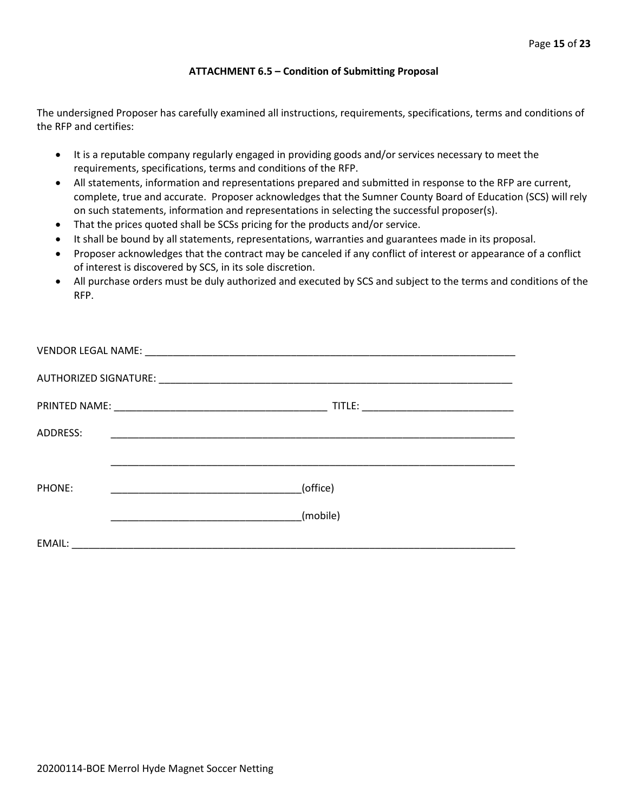#### **ATTACHMENT 6.5 – Condition of Submitting Proposal**

The undersigned Proposer has carefully examined all instructions, requirements, specifications, terms and conditions of the RFP and certifies:

- It is a reputable company regularly engaged in providing goods and/or services necessary to meet the requirements, specifications, terms and conditions of the RFP.
- All statements, information and representations prepared and submitted in response to the RFP are current, complete, true and accurate. Proposer acknowledges that the Sumner County Board of Education (SCS) will rely on such statements, information and representations in selecting the successful proposer(s).
- That the prices quoted shall be SCSs pricing for the products and/or service.
- It shall be bound by all statements, representations, warranties and guarantees made in its proposal.
- Proposer acknowledges that the contract may be canceled if any conflict of interest or appearance of a conflict of interest is discovered by SCS, in its sole discretion.
- All purchase orders must be duly authorized and executed by SCS and subject to the terms and conditions of the RFP.

| ADDRESS: |                                                               |
|----------|---------------------------------------------------------------|
|          |                                                               |
| PHONE:   | (office)<br><u> 1989 - Johann Barbara, martin da basar da</u> |
|          | (mobile)                                                      |
| EMAIL:   |                                                               |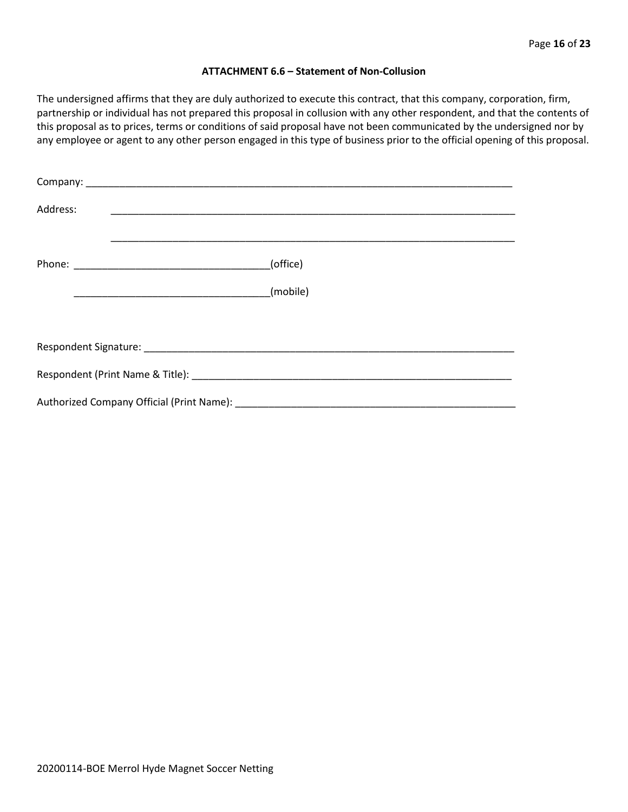#### **ATTACHMENT 6.6 – Statement of Non-Collusion**

The undersigned affirms that they are duly authorized to execute this contract, that this company, corporation, firm, partnership or individual has not prepared this proposal in collusion with any other respondent, and that the contents of this proposal as to prices, terms or conditions of said proposal have not been communicated by the undersigned nor by any employee or agent to any other person engaged in this type of business prior to the official opening of this proposal.

| Address: |          |
|----------|----------|
|          | (office) |
|          | (mobile) |
|          |          |
|          |          |
|          |          |
|          |          |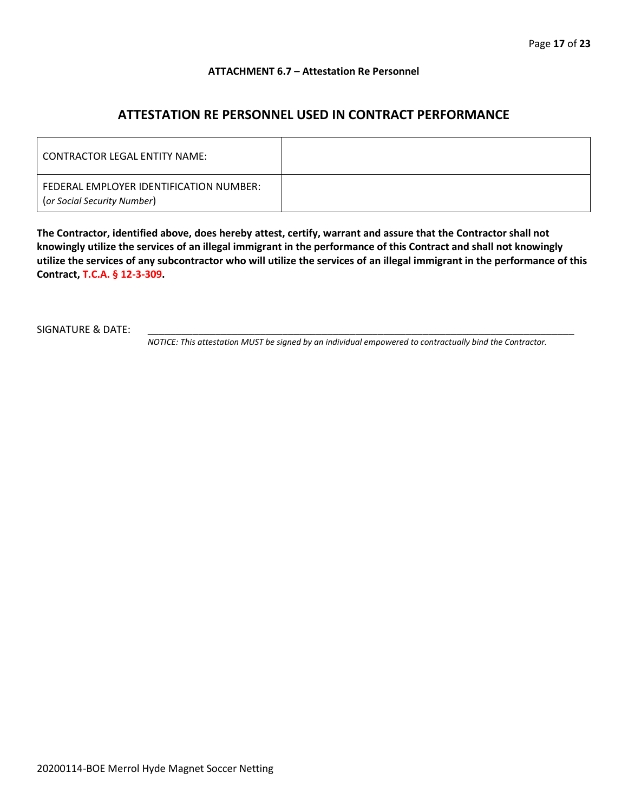#### **ATTACHMENT 6.7 – Attestation Re Personnel**

### **ATTESTATION RE PERSONNEL USED IN CONTRACT PERFORMANCE**

| CONTRACTOR LEGAL ENTITY NAME:                                          |  |
|------------------------------------------------------------------------|--|
| FEDERAL EMPLOYER IDENTIFICATION NUMBER:<br>(or Social Security Number) |  |

**The Contractor, identified above, does hereby attest, certify, warrant and assure that the Contractor shall not knowingly utilize the services of an illegal immigrant in the performance of this Contract and shall not knowingly utilize the services of any subcontractor who will utilize the services of an illegal immigrant in the performance of this Contract, T.C.A. § 12-3-309.**

SIGNATURE & DATE:

*NOTICE: This attestation MUST be signed by an individual empowered to contractually bind the Contractor.*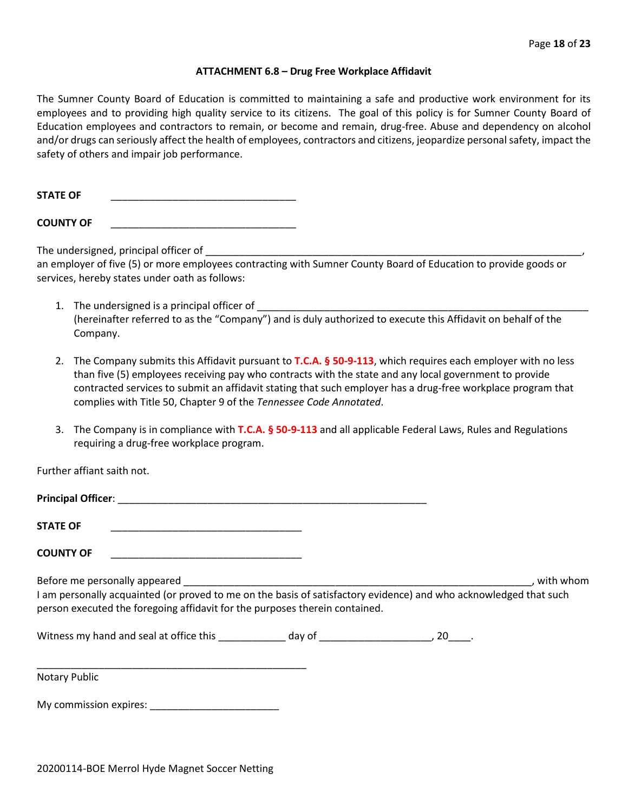#### **ATTACHMENT 6.8 – Drug Free Workplace Affidavit**

The Sumner County Board of Education is committed to maintaining a safe and productive work environment for its employees and to providing high quality service to its citizens. The goal of this policy is for Sumner County Board of Education employees and contractors to remain, or become and remain, drug-free. Abuse and dependency on alcohol and/or drugs can seriously affect the health of employees, contractors and citizens, jeopardize personal safety, impact the safety of others and impair job performance.

STATE OF

**COUNTY OF** \_\_\_\_\_\_\_\_\_\_\_\_\_\_\_\_\_\_\_\_\_\_\_\_\_\_\_\_\_\_\_\_\_

The undersigned, principal officer of

an employer of five (5) or more employees contracting with Sumner County Board of Education to provide goods or services, hereby states under oath as follows:

- 1. The undersigned is a principal officer of (hereinafter referred to as the "Company") and is duly authorized to execute this Affidavit on behalf of the Company.
- 2. The Company submits this Affidavit pursuant to **T.C.A. § 50-9-113**, which requires each employer with no less than five (5) employees receiving pay who contracts with the state and any local government to provide contracted services to submit an affidavit stating that such employer has a drug-free workplace program that complies with Title 50, Chapter 9 of the *Tennessee Code Annotated*.
- 3. The Company is in compliance with **T.C.A. § 50-9-113** and all applicable Federal Laws, Rules and Regulations requiring a drug-free workplace program.

Further affiant saith not.

| <b>Principal Officer:</b> |  |
|---------------------------|--|
|                           |  |
| <b>STATE OF</b>           |  |

**COUNTY OF** \_\_\_\_\_\_\_\_\_\_\_\_\_\_\_\_\_\_\_\_\_\_\_\_\_\_\_\_\_\_\_\_\_\_

Before me personally appeared \_\_\_\_\_\_\_\_\_\_\_\_\_\_\_\_\_\_\_\_\_\_\_\_\_\_\_\_\_\_\_\_\_\_\_\_\_\_\_\_\_\_\_\_\_\_\_\_\_\_\_\_\_\_\_\_\_\_\_\_\_\_, with whom I am personally acquainted (or proved to me on the basis of satisfactory evidence) and who acknowledged that such person executed the foregoing affidavit for the purposes therein contained.

Witness my hand and seal at office this \_\_\_\_\_\_\_\_\_\_\_\_\_ day of \_\_\_\_\_\_\_\_\_\_\_\_\_\_\_\_\_\_\_\_, 20\_\_\_\_.

\_\_\_\_\_\_\_\_\_\_\_\_\_\_\_\_\_\_\_\_\_\_\_\_\_\_\_\_\_\_\_\_\_\_\_\_\_\_\_\_\_\_\_\_\_\_\_\_ Notary Public

My commission expires: \_\_\_\_\_\_\_\_\_\_\_\_\_\_\_\_\_\_\_\_\_\_\_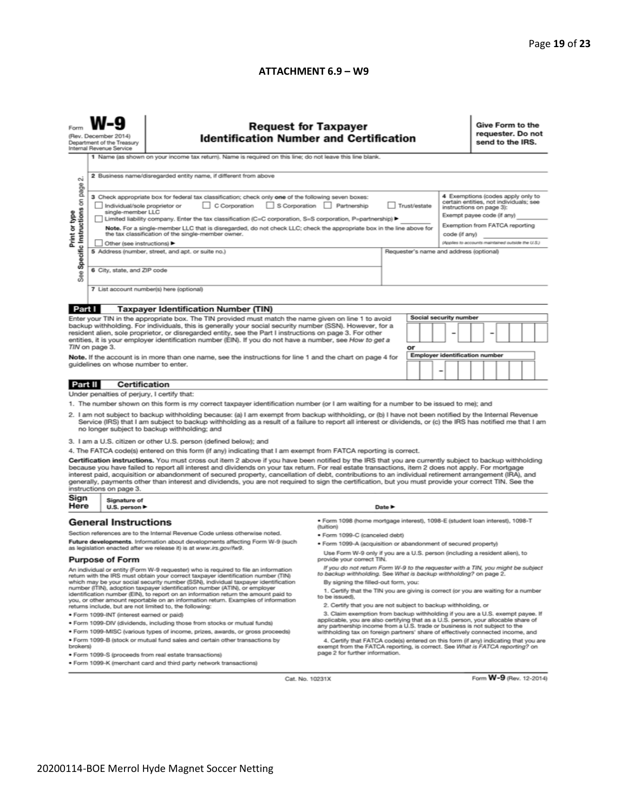#### **ATTACHMENT 6.9 – W9**

|                                                                                                                                                                                                                                                                                                                                                                                                                                                                                                                         | (Rev. December 2014)<br>Department of the Treasury<br>Internal Revenue Service<br>1 Name (as shown on your income tax return). Name is required on this line; do not leave this line blank.                                                                                                                                                                                                                                                                                                                                            | <b>Request for Taxpayer</b><br><b>Identification Number and Certification</b>                                                                                                                                                                                                                                                                                                                                                                                                                                                                                                                                                                                                                                                                    |                                                                                                                                                                                                                                                                                                      |        |    |  |                               |                                                                                                                                                                         | Give Form to the<br>requester. Do not<br>send to the IRS. |  |  |  |  |  |
|-------------------------------------------------------------------------------------------------------------------------------------------------------------------------------------------------------------------------------------------------------------------------------------------------------------------------------------------------------------------------------------------------------------------------------------------------------------------------------------------------------------------------|----------------------------------------------------------------------------------------------------------------------------------------------------------------------------------------------------------------------------------------------------------------------------------------------------------------------------------------------------------------------------------------------------------------------------------------------------------------------------------------------------------------------------------------|--------------------------------------------------------------------------------------------------------------------------------------------------------------------------------------------------------------------------------------------------------------------------------------------------------------------------------------------------------------------------------------------------------------------------------------------------------------------------------------------------------------------------------------------------------------------------------------------------------------------------------------------------------------------------------------------------------------------------------------------------|------------------------------------------------------------------------------------------------------------------------------------------------------------------------------------------------------------------------------------------------------------------------------------------------------|--------|----|--|-------------------------------|-------------------------------------------------------------------------------------------------------------------------------------------------------------------------|-----------------------------------------------------------|--|--|--|--|--|
| $\sim$                                                                                                                                                                                                                                                                                                                                                                                                                                                                                                                  |                                                                                                                                                                                                                                                                                                                                                                                                                                                                                                                                        | 2 Business name/disregarded entity name, if different from above                                                                                                                                                                                                                                                                                                                                                                                                                                                                                                                                                                                                                                                                                 |                                                                                                                                                                                                                                                                                                      |        |    |  |                               |                                                                                                                                                                         |                                                           |  |  |  |  |  |
| Specific Instructions on page<br>Print or type                                                                                                                                                                                                                                                                                                                                                                                                                                                                          | 3 Check appropriate box for federal tax classification; check only one of the following seven boxes:<br>C Corporation<br>S Corporation Partnership<br>Trust/estate<br>Individual/sole proprietor or<br>single-member LLC<br>Limited liability company. Enter the tax classification (C=C corporation, S=S corporation, P=partnership) ▶<br>Note. For a single-member LLC that is disregarded, do not check LLC; check the appropriate box in the line above for<br>the tax classification of the single-member owner.<br>code (if any) |                                                                                                                                                                                                                                                                                                                                                                                                                                                                                                                                                                                                                                                                                                                                                  |                                                                                                                                                                                                                                                                                                      |        |    |  |                               | 4 Exemptions (codes apply only to<br>certain entities, not individuals; see<br>instructions on page 3):<br>Exempt payee code (if any)<br>Exemption from FATCA reporting |                                                           |  |  |  |  |  |
| See                                                                                                                                                                                                                                                                                                                                                                                                                                                                                                                     | Other (see instructions) ▶<br>6 City, state, and ZIP code                                                                                                                                                                                                                                                                                                                                                                                                                                                                              | 5 Address (number, street, and apt. or suite no.)                                                                                                                                                                                                                                                                                                                                                                                                                                                                                                                                                                                                                                                                                                | Requester's name and address (optional)                                                                                                                                                                                                                                                              |        |    |  |                               |                                                                                                                                                                         | (Applies to accounts maintained outside the U.S.)         |  |  |  |  |  |
|                                                                                                                                                                                                                                                                                                                                                                                                                                                                                                                         |                                                                                                                                                                                                                                                                                                                                                                                                                                                                                                                                        | 7 List account number(s) here (optional)                                                                                                                                                                                                                                                                                                                                                                                                                                                                                                                                                                                                                                                                                                         |                                                                                                                                                                                                                                                                                                      |        |    |  |                               |                                                                                                                                                                         |                                                           |  |  |  |  |  |
| Part I                                                                                                                                                                                                                                                                                                                                                                                                                                                                                                                  |                                                                                                                                                                                                                                                                                                                                                                                                                                                                                                                                        | <b>Taxpayer Identification Number (TIN)</b>                                                                                                                                                                                                                                                                                                                                                                                                                                                                                                                                                                                                                                                                                                      |                                                                                                                                                                                                                                                                                                      |        |    |  |                               |                                                                                                                                                                         |                                                           |  |  |  |  |  |
|                                                                                                                                                                                                                                                                                                                                                                                                                                                                                                                         | TIN on page 3.<br>guidelines on whose number to enter.                                                                                                                                                                                                                                                                                                                                                                                                                                                                                 | Enter your TIN in the appropriate box. The TIN provided must match the name given on line 1 to avoid<br>backup withholding. For individuals, this is generally your social security number (SSN). However, for a<br>resident alien, sole proprietor, or disregarded entity, see the Part I instructions on page 3. For other<br>entities, it is your employer identification number (EIN). If you do not have a number, see How to get a<br>Note. If the account is in more than one name, see the instructions for line 1 and the chart on page 4 for                                                                                                                                                                                           |                                                                                                                                                                                                                                                                                                      |        | or |  | <b>Social security number</b> |                                                                                                                                                                         | <b>Employer identification number</b>                     |  |  |  |  |  |
| -<br>Part II<br>Certification                                                                                                                                                                                                                                                                                                                                                                                                                                                                                           |                                                                                                                                                                                                                                                                                                                                                                                                                                                                                                                                        |                                                                                                                                                                                                                                                                                                                                                                                                                                                                                                                                                                                                                                                                                                                                                  |                                                                                                                                                                                                                                                                                                      |        |    |  |                               |                                                                                                                                                                         |                                                           |  |  |  |  |  |
|                                                                                                                                                                                                                                                                                                                                                                                                                                                                                                                         | Under penalties of perjury, I certify that:                                                                                                                                                                                                                                                                                                                                                                                                                                                                                            |                                                                                                                                                                                                                                                                                                                                                                                                                                                                                                                                                                                                                                                                                                                                                  |                                                                                                                                                                                                                                                                                                      |        |    |  |                               |                                                                                                                                                                         |                                                           |  |  |  |  |  |
| 1. The number shown on this form is my correct taxpayer identification number (or I am waiting for a number to be issued to me); and<br>2. I am not subject to backup withholding because: (a) I am exempt from backup withholding, or (b) I have not been notified by the Internal Revenue<br>Service (IRS) that I am subject to backup withholding as a result of a failure to report all interest or dividends, or (c) the IRS has notified me that I am<br>no longer subject to backup withholding; and             |                                                                                                                                                                                                                                                                                                                                                                                                                                                                                                                                        |                                                                                                                                                                                                                                                                                                                                                                                                                                                                                                                                                                                                                                                                                                                                                  |                                                                                                                                                                                                                                                                                                      |        |    |  |                               |                                                                                                                                                                         |                                                           |  |  |  |  |  |
|                                                                                                                                                                                                                                                                                                                                                                                                                                                                                                                         |                                                                                                                                                                                                                                                                                                                                                                                                                                                                                                                                        | 3. I am a U.S. citizen or other U.S. person (defined below); and                                                                                                                                                                                                                                                                                                                                                                                                                                                                                                                                                                                                                                                                                 |                                                                                                                                                                                                                                                                                                      |        |    |  |                               |                                                                                                                                                                         |                                                           |  |  |  |  |  |
|                                                                                                                                                                                                                                                                                                                                                                                                                                                                                                                         | instructions on page 3.                                                                                                                                                                                                                                                                                                                                                                                                                                                                                                                | 4. The FATCA code(s) entered on this form (if any) indicating that I am exempt from FATCA reporting is correct.<br>Certification instructions. You must cross out item 2 above if you have been notified by the IRS that you are currently subject to backup withholding<br>because you have failed to report all interest and dividends on your tax return. For real estate transactions, item 2 does not apply. For mortgage<br>interest paid, acquisition or abandonment of secured property, cancellation of debt, contributions to an individual retirement arrangement (IRA), and<br>generally, payments other than interest and dividends, you are not required to sign the certification, but you must provide your correct TIN. See the |                                                                                                                                                                                                                                                                                                      |        |    |  |                               |                                                                                                                                                                         |                                                           |  |  |  |  |  |
| Sign<br>Here                                                                                                                                                                                                                                                                                                                                                                                                                                                                                                            | Signature of<br>U.S. person $\blacktriangleright$                                                                                                                                                                                                                                                                                                                                                                                                                                                                                      |                                                                                                                                                                                                                                                                                                                                                                                                                                                                                                                                                                                                                                                                                                                                                  |                                                                                                                                                                                                                                                                                                      | Date P |    |  |                               |                                                                                                                                                                         |                                                           |  |  |  |  |  |
|                                                                                                                                                                                                                                                                                                                                                                                                                                                                                                                         | <b>General Instructions</b>                                                                                                                                                                                                                                                                                                                                                                                                                                                                                                            | Section references are to the Internal Revenue Code unless otherwise noted.                                                                                                                                                                                                                                                                                                                                                                                                                                                                                                                                                                                                                                                                      | ● Form 1098 (home mortgage interest), 1098-E (student loan interest), 1098-T<br>(tuition)                                                                                                                                                                                                            |        |    |  |                               |                                                                                                                                                                         |                                                           |  |  |  |  |  |
|                                                                                                                                                                                                                                                                                                                                                                                                                                                                                                                         |                                                                                                                                                                                                                                                                                                                                                                                                                                                                                                                                        | Future developments. Information about developments affecting Form W-9 (such                                                                                                                                                                                                                                                                                                                                                                                                                                                                                                                                                                                                                                                                     | · Form 1099-C (canceled debt)                                                                                                                                                                                                                                                                        |        |    |  |                               |                                                                                                                                                                         |                                                           |  |  |  |  |  |
| as legislation enacted after we release it) is at www.irs.gov/fw9.<br><b>Purpose of Form</b>                                                                                                                                                                                                                                                                                                                                                                                                                            |                                                                                                                                                                                                                                                                                                                                                                                                                                                                                                                                        |                                                                                                                                                                                                                                                                                                                                                                                                                                                                                                                                                                                                                                                                                                                                                  | . Form 1099-A (acquisition or abandonment of secured property)<br>Use Form W-9 only if you are a U.S. person (including a resident alien), to<br>provide your correct TIN.                                                                                                                           |        |    |  |                               |                                                                                                                                                                         |                                                           |  |  |  |  |  |
| An individual or entity (Form W-9 requester) who is required to file an information<br>return with the IRS must obtain your correct taxpayer identification number (TIN)<br>which may be your social security number (SSN), individual taxpayer identification<br>number (ITIN), adoption taxpayer identification number (ATIN), or employer<br>identification number (EIN), to report on an information return the amount paid to<br>you, or other amount reportable on an information return. Examples of information |                                                                                                                                                                                                                                                                                                                                                                                                                                                                                                                                        |                                                                                                                                                                                                                                                                                                                                                                                                                                                                                                                                                                                                                                                                                                                                                  | If you do not return Form W-9 to the requester with a TIN, you might be subject<br>to backup withholding. See What is backup withholding? on page 2.<br>By signing the filled-out form, you:<br>1. Certify that the TIN you are giving is correct (or you are waiting for a number<br>to be issued). |        |    |  |                               |                                                                                                                                                                         |                                                           |  |  |  |  |  |
| returns include, but are not limited to, the following:                                                                                                                                                                                                                                                                                                                                                                                                                                                                 |                                                                                                                                                                                                                                                                                                                                                                                                                                                                                                                                        |                                                                                                                                                                                                                                                                                                                                                                                                                                                                                                                                                                                                                                                                                                                                                  | 2. Certify that you are not subject to backup withholding, or                                                                                                                                                                                                                                        |        |    |  |                               |                                                                                                                                                                         |                                                           |  |  |  |  |  |
|                                                                                                                                                                                                                                                                                                                                                                                                                                                                                                                         | · Form 1099-INT (interest earned or paid)                                                                                                                                                                                                                                                                                                                                                                                                                                                                                              | 3. Claim exemption from backup withholding if you are a U.S. exempt payee. If<br>applicable, you are also certifying that as a U.S. person, your allocable share of                                                                                                                                                                                                                                                                                                                                                                                                                                                                                                                                                                              |                                                                                                                                                                                                                                                                                                      |        |    |  |                               |                                                                                                                                                                         |                                                           |  |  |  |  |  |
|                                                                                                                                                                                                                                                                                                                                                                                                                                                                                                                         |                                                                                                                                                                                                                                                                                                                                                                                                                                                                                                                                        | . Form 1099-DIV (dividends, including those from stocks or mutual funds)                                                                                                                                                                                                                                                                                                                                                                                                                                                                                                                                                                                                                                                                         | any partnership income from a U.S. trade or business is not subject to the                                                                                                                                                                                                                           |        |    |  |                               |                                                                                                                                                                         |                                                           |  |  |  |  |  |
| . Form 1099-MISC (various types of income, prizes, awards, or gross proceeds)<br>. Form 1099-B (stock or mutual fund sales and certain other transactions by<br>brokers)                                                                                                                                                                                                                                                                                                                                                |                                                                                                                                                                                                                                                                                                                                                                                                                                                                                                                                        |                                                                                                                                                                                                                                                                                                                                                                                                                                                                                                                                                                                                                                                                                                                                                  | withholding tax on foreign partners' share of effectively connected income, and<br>4. Certify that FATCA code(s) entered on this form (if any) indicating that you are<br>exempt from the FATCA reporting, is correct. See What is FATCA reporting? on<br>page 2 for further information.            |        |    |  |                               |                                                                                                                                                                         |                                                           |  |  |  |  |  |
|                                                                                                                                                                                                                                                                                                                                                                                                                                                                                                                         | · Form 1099-S (proceeds from real estate transactions)<br>. Form 1099-K (merchant card and third party network transactions)                                                                                                                                                                                                                                                                                                                                                                                                           |                                                                                                                                                                                                                                                                                                                                                                                                                                                                                                                                                                                                                                                                                                                                                  |                                                                                                                                                                                                                                                                                                      |        |    |  |                               |                                                                                                                                                                         |                                                           |  |  |  |  |  |

Cat. No. 10231X

Form **W-9** (Rev. 12-2014)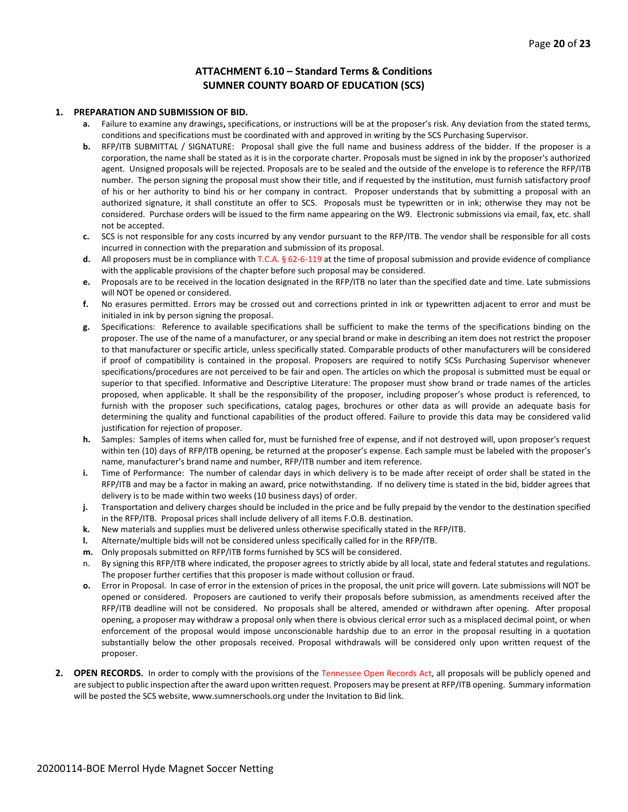#### **ATTACHMENT 6.10 – Standard Terms & Conditions SUMNER COUNTY BOARD OF EDUCATION (SCS)**

#### **1. PREPARATION AND SUBMISSION OF BID.**

- **a.** Failure to examine any drawings**,** specifications, or instructions will be at the proposer's risk. Any deviation from the stated terms, conditions and specifications must be coordinated with and approved in writing by the SCS Purchasing Supervisor.
- **b.** RFP/ITB SUBMITTAL / SIGNATURE: Proposal shall give the full name and business address of the bidder. If the proposer is a corporation, the name shall be stated as it is in the corporate charter. Proposals must be signed in ink by the proposer's authorized agent. Unsigned proposals will be rejected. Proposals are to be sealed and the outside of the envelope is to reference the RFP/ITB number. The person signing the proposal must show their title, and if requested by the institution, must furnish satisfactory proof of his or her authority to bind his or her company in contract. Proposer understands that by submitting a proposal with an authorized signature, it shall constitute an offer to SCS. Proposals must be typewritten or in ink; otherwise they may not be considered. Purchase orders will be issued to the firm name appearing on the W9. Electronic submissions via email, fax, etc. shall not be accepted.
- **c.** SCS is not responsible for any costs incurred by any vendor pursuant to the RFP/ITB. The vendor shall be responsible for all costs incurred in connection with the preparation and submission of its proposal.
- **d.** All proposers must be in compliance with T.C.A. § 62-6-119 at the time of proposal submission and provide evidence of compliance with the applicable provisions of the chapter before such proposal may be considered.
- **e.** Proposals are to be received in the location designated in the RFP/ITB no later than the specified date and time. Late submissions will NOT be opened or considered.
- **f.** No erasures permitted. Errors may be crossed out and corrections printed in ink or typewritten adjacent to error and must be initialed in ink by person signing the proposal.
- **g.** Specifications: Reference to available specifications shall be sufficient to make the terms of the specifications binding on the proposer. The use of the name of a manufacturer, or any special brand or make in describing an item does not restrict the proposer to that manufacturer or specific article, unless specifically stated. Comparable products of other manufacturers will be considered if proof of compatibility is contained in the proposal. Proposers are required to notify SCSs Purchasing Supervisor whenever specifications/procedures are not perceived to be fair and open. The articles on which the proposal is submitted must be equal or superior to that specified. Informative and Descriptive Literature: The proposer must show brand or trade names of the articles proposed, when applicable. It shall be the responsibility of the proposer, including proposer's whose product is referenced, to furnish with the proposer such specifications, catalog pages, brochures or other data as will provide an adequate basis for determining the quality and functional capabilities of the product offered. Failure to provide this data may be considered valid justification for rejection of proposer.
- **h.** Samples: Samples of items when called for, must be furnished free of expense, and if not destroyed will, upon proposer's request within ten (10) days of RFP/ITB opening, be returned at the proposer's expense. Each sample must be labeled with the proposer's name, manufacturer's brand name and number, RFP/ITB number and item reference.
- **i.** Time of Performance: The number of calendar days in which delivery is to be made after receipt of order shall be stated in the RFP/ITB and may be a factor in making an award, price notwithstanding. If no delivery time is stated in the bid, bidder agrees that delivery is to be made within two weeks (10 business days) of order.
- **j.** Transportation and delivery charges should be included in the price and be fully prepaid by the vendor to the destination specified in the RFP/ITB. Proposal prices shall include delivery of all items F.O.B. destination.
- **k.** New materials and supplies must be delivered unless otherwise specifically stated in the RFP/ITB.
- **l.** Alternate/multiple bids will not be considered unless specifically called for in the RFP/ITB.
- **m.** Only proposals submitted on RFP/ITB forms furnished by SCS will be considered.
- n. By signing this RFP/ITB where indicated, the proposer agrees to strictly abide by all local, state and federal statutes and regulations. The proposer further certifies that this proposer is made without collusion or fraud.
- **o.** Error in Proposal. In case of error in the extension of prices in the proposal, the unit price will govern. Late submissions will NOT be opened or considered. Proposers are cautioned to verify their proposals before submission, as amendments received after the RFP/ITB deadline will not be considered. No proposals shall be altered, amended or withdrawn after opening. After proposal opening, a proposer may withdraw a proposal only when there is obvious clerical error such as a misplaced decimal point, or when enforcement of the proposal would impose unconscionable hardship due to an error in the proposal resulting in a quotation substantially below the other proposals received. Proposal withdrawals will be considered only upon written request of the proposer.
- **2. OPEN RECORDS.** In order to comply with the provisions of the Tennessee Open Records Act, all proposals will be publicly opened and are subject to public inspection after the award upon written request. Proposers may be present at RFP/ITB opening. Summary information will be posted the SCS website, www.sumnerschools.org under the Invitation to Bid link.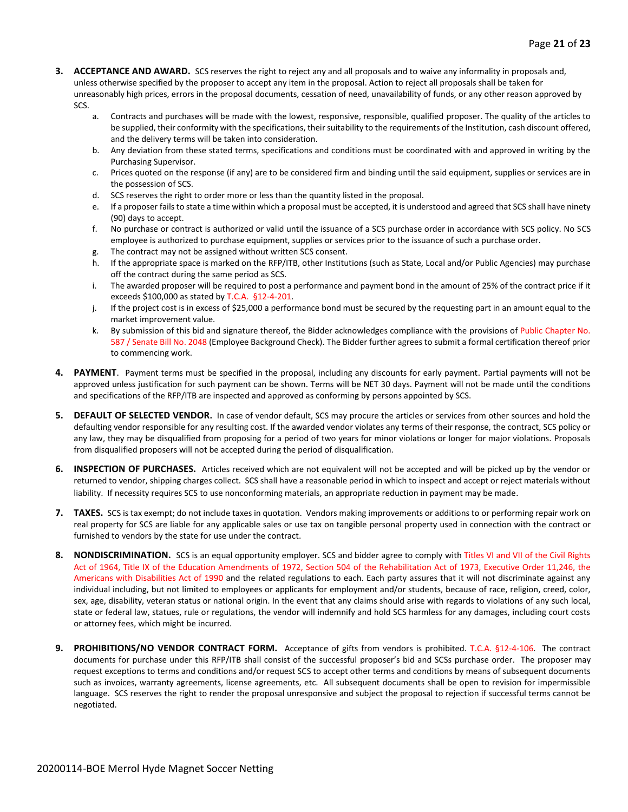- **3. ACCEPTANCE AND AWARD.** SCS reserves the right to reject any and all proposals and to waive any informality in proposals and, unless otherwise specified by the proposer to accept any item in the proposal. Action to reject all proposals shall be taken for unreasonably high prices, errors in the proposal documents, cessation of need, unavailability of funds, or any other reason approved by SCS.
	- a. Contracts and purchases will be made with the lowest, responsive, responsible, qualified proposer. The quality of the articles to be supplied, their conformity with the specifications, their suitability to the requirements of the Institution, cash discount offered, and the delivery terms will be taken into consideration.
	- b. Any deviation from these stated terms, specifications and conditions must be coordinated with and approved in writing by the Purchasing Supervisor.
	- c. Prices quoted on the response (if any) are to be considered firm and binding until the said equipment, supplies or services are in the possession of SCS.
	- d. SCS reserves the right to order more or less than the quantity listed in the proposal.
	- e. If a proposer fails to state a time within which a proposal must be accepted, it is understood and agreed that SCS shall have ninety (90) days to accept.
	- f. No purchase or contract is authorized or valid until the issuance of a SCS purchase order in accordance with SCS policy. No SCS employee is authorized to purchase equipment, supplies or services prior to the issuance of such a purchase order.
	- g. The contract may not be assigned without written SCS consent.
	- h. If the appropriate space is marked on the RFP/ITB, other Institutions (such as State, Local and/or Public Agencies) may purchase off the contract during the same period as SCS.
	- i. The awarded proposer will be required to post a performance and payment bond in the amount of 25% of the contract price if it exceeds \$100,000 as stated by T.C.A. §12-4-201.
	- j. If the project cost is in excess of \$25,000 a performance bond must be secured by the requesting part in an amount equal to the market improvement value.
	- k. By submission of this bid and signature thereof, the Bidder acknowledges compliance with the provisions of Public Chapter No. 587 / Senate Bill No. 2048 (Employee Background Check). The Bidder further agrees to submit a formal certification thereof prior to commencing work.
- **4. PAYMENT**. Payment terms must be specified in the proposal, including any discounts for early payment. Partial payments will not be approved unless justification for such payment can be shown. Terms will be NET 30 days. Payment will not be made until the conditions and specifications of the RFP/ITB are inspected and approved as conforming by persons appointed by SCS.
- **5. DEFAULT OF SELECTED VENDOR.** In case of vendor default, SCS may procure the articles or services from other sources and hold the defaulting vendor responsible for any resulting cost. If the awarded vendor violates any terms of their response, the contract, SCS policy or any law, they may be disqualified from proposing for a period of two years for minor violations or longer for major violations. Proposals from disqualified proposers will not be accepted during the period of disqualification.
- **6. INSPECTION OF PURCHASES.** Articles received which are not equivalent will not be accepted and will be picked up by the vendor or returned to vendor, shipping charges collect. SCS shall have a reasonable period in which to inspect and accept or reject materials without liability. If necessity requires SCS to use nonconforming materials, an appropriate reduction in payment may be made.
- **7. TAXES.** SCS is tax exempt; do not include taxes in quotation. Vendors making improvements or additions to or performing repair work on real property for SCS are liable for any applicable sales or use tax on tangible personal property used in connection with the contract or furnished to vendors by the state for use under the contract.
- **8. NONDISCRIMINATION.** SCS is an equal opportunity employer. SCS and bidder agree to comply with Titles VI and VII of the Civil Rights Act of 1964, Title IX of the Education Amendments of 1972, Section 504 of the Rehabilitation Act of 1973, Executive Order 11,246, the Americans with Disabilities Act of 1990 and the related regulations to each. Each party assures that it will not discriminate against any individual including, but not limited to employees or applicants for employment and/or students, because of race, religion, creed, color, sex, age, disability, veteran status or national origin. In the event that any claims should arise with regards to violations of any such local, state or federal law, statues, rule or regulations, the vendor will indemnify and hold SCS harmless for any damages, including court costs or attorney fees, which might be incurred.
- **9. PROHIBITIONS/NO VENDOR CONTRACT FORM.** Acceptance of gifts from vendors is prohibited. T.C.A. §12-4-106. The contract documents for purchase under this RFP/ITB shall consist of the successful proposer's bid and SCSs purchase order. The proposer may request exceptions to terms and conditions and/or request SCS to accept other terms and conditions by means of subsequent documents such as invoices, warranty agreements, license agreements, etc. All subsequent documents shall be open to revision for impermissible language. SCS reserves the right to render the proposal unresponsive and subject the proposal to rejection if successful terms cannot be negotiated.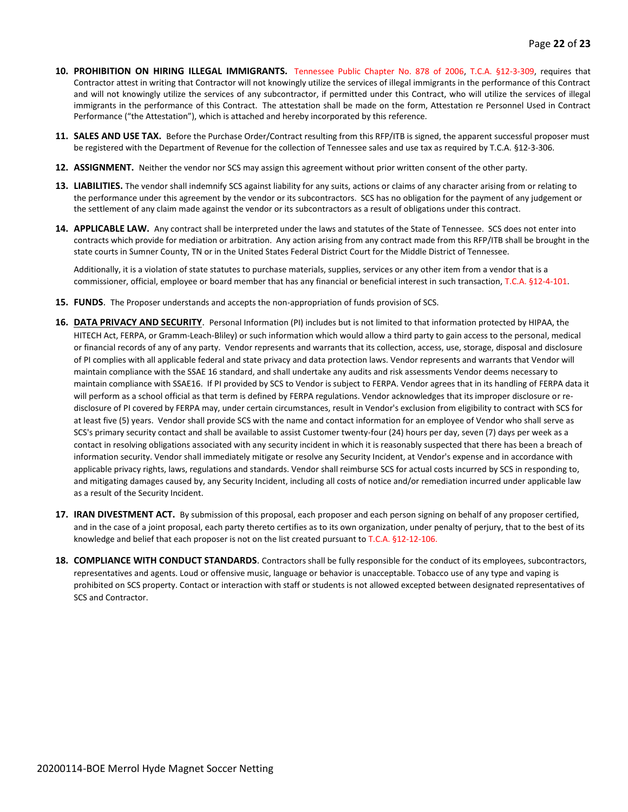- **10. PROHIBITION ON HIRING ILLEGAL IMMIGRANTS.** Tennessee Public Chapter No. 878 of 2006, T.C.A. §12-3-309, requires that Contractor attest in writing that Contractor will not knowingly utilize the services of illegal immigrants in the performance of this Contract and will not knowingly utilize the services of any subcontractor, if permitted under this Contract, who will utilize the services of illegal immigrants in the performance of this Contract. The attestation shall be made on the form, Attestation re Personnel Used in Contract Performance ("the Attestation"), which is attached and hereby incorporated by this reference.
- **11. SALES AND USE TAX.** Before the Purchase Order/Contract resulting from this RFP/ITB is signed, the apparent successful proposer must be registered with the Department of Revenue for the collection of Tennessee sales and use tax as required by T.C.A. §12-3-306.
- **12. ASSIGNMENT.** Neither the vendor nor SCS may assign this agreement without prior written consent of the other party.
- **13. LIABILITIES.** The vendor shall indemnify SCS against liability for any suits, actions or claims of any character arising from or relating to the performance under this agreement by the vendor or its subcontractors. SCS has no obligation for the payment of any judgement or the settlement of any claim made against the vendor or its subcontractors as a result of obligations under this contract.
- **14. APPLICABLE LAW.** Any contract shall be interpreted under the laws and statutes of the State of Tennessee. SCS does not enter into contracts which provide for mediation or arbitration. Any action arising from any contract made from this RFP/ITB shall be brought in the state courts in Sumner County, TN or in the United States Federal District Court for the Middle District of Tennessee.

Additionally, it is a violation of state statutes to purchase materials, supplies, services or any other item from a vendor that is a commissioner, official, employee or board member that has any financial or beneficial interest in such transaction, T.C.A. §12-4-101.

- **15. FUNDS**. The Proposer understands and accepts the non-appropriation of funds provision of SCS.
- **16. DATA PRIVACY AND SECURITY**. Personal Information (PI) includes but is not limited to that information protected by HIPAA, the HITECH Act, FERPA, or Gramm-Leach-Bliley) or such information which would allow a third party to gain access to the personal, medical or financial records of any of any party. Vendor represents and warrants that its collection, access, use, storage, disposal and disclosure of PI complies with all applicable federal and state privacy and data protection laws. Vendor represents and warrants that Vendor will maintain compliance with the SSAE 16 standard, and shall undertake any audits and risk assessments Vendor deems necessary to maintain compliance with SSAE16. If PI provided by SCS to Vendor is subject to FERPA. Vendor agrees that in its handling of FERPA data it will perform as a school official as that term is defined by FERPA regulations. Vendor acknowledges that its improper disclosure or redisclosure of PI covered by FERPA may, under certain circumstances, result in Vendor's exclusion from eligibility to contract with SCS for at least five (5) years. Vendor shall provide SCS with the name and contact information for an employee of Vendor who shall serve as SCS's primary security contact and shall be available to assist Customer twenty-four (24) hours per day, seven (7) days per week as a contact in resolving obligations associated with any security incident in which it is reasonably suspected that there has been a breach of information security. Vendor shall immediately mitigate or resolve any Security Incident, at Vendor's expense and in accordance with applicable privacy rights, laws, regulations and standards. Vendor shall reimburse SCS for actual costs incurred by SCS in responding to, and mitigating damages caused by, any Security Incident, including all costs of notice and/or remediation incurred under applicable law as a result of the Security Incident.
- **17. IRAN DIVESTMENT ACT.** By submission of this proposal, each proposer and each person signing on behalf of any proposer certified, and in the case of a joint proposal, each party thereto certifies as to its own organization, under penalty of perjury, that to the best of its knowledge and belief that each proposer is not on the list created pursuant to T.C.A. §12-12-106.
- **18. COMPLIANCE WITH CONDUCT STANDARDS**. Contractors shall be fully responsible for the conduct of its employees, subcontractors, representatives and agents. Loud or offensive music, language or behavior is unacceptable. Tobacco use of any type and vaping is prohibited on SCS property. Contact or interaction with staff or students is not allowed excepted between designated representatives of SCS and Contractor.